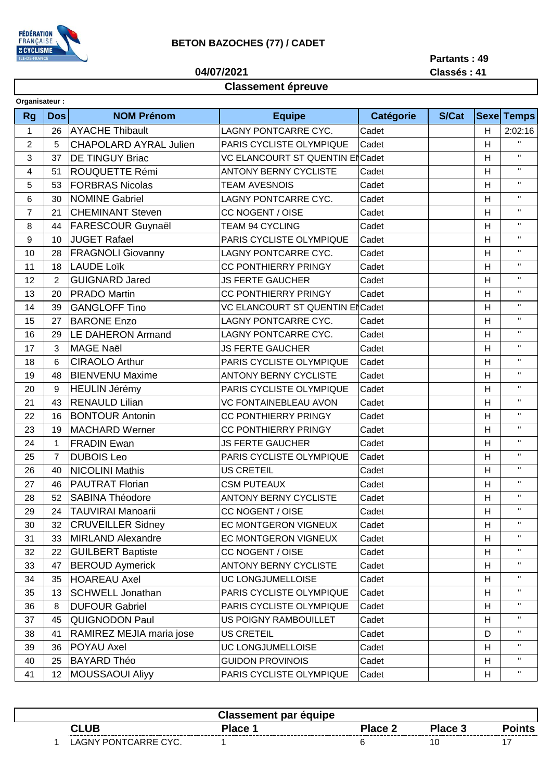

## **BETON BAZOCHES (77) / CADET**

**04/07/2021**

**Partants : 49 Classés : 41**

## **Classement épreuve**

| Organisateur:           |                |                               |                                 |                  |              |   |                    |
|-------------------------|----------------|-------------------------------|---------------------------------|------------------|--------------|---|--------------------|
| <b>Rg</b>               | <b>Dos</b>     | <b>NOM Prénom</b>             | <b>Equipe</b>                   | <b>Catégorie</b> | <b>S/Cat</b> |   | <b>Sexe Temps</b>  |
| $\mathbf{1}$            | 26             | <b>AYACHE Thibault</b>        | LAGNY PONTCARRE CYC.            | Cadet            |              | H | 2:02:16            |
| $\overline{c}$          | 5              | <b>CHAPOLARD AYRAL Julien</b> | PARIS CYCLISTE OLYMPIQUE        | Cadet            |              | H | $\blacksquare$     |
| 3                       | 37             | <b>DE TINGUY Briac</b>        | VC ELANCOURT ST QUENTIN ENCadet |                  |              | н | $\mathbf{H}$       |
| $\overline{\mathbf{4}}$ | 51             | ROUQUETTE Rémi                | <b>ANTONY BERNY CYCLISTE</b>    | Cadet            |              | H | $\mathbf{H}$       |
| 5                       | 53             | <b>FORBRAS Nicolas</b>        | <b>TEAM AVESNOIS</b>            | Cadet            |              | Н | $\mathbf{H}$       |
| 6                       | 30             | <b>NOMINE Gabriel</b>         | LAGNY PONTCARRE CYC.            | Cadet            |              | H | $\mathbf{H}$       |
| $\overline{7}$          | 21             | <b>CHEMINANT Steven</b>       | CC NOGENT / OISE                | Cadet            |              | Η | $\mathbf{H}$       |
| 8                       | 44             | <b>FARESCOUR Guynaël</b>      | TEAM 94 CYCLING                 | Cadet            |              | H | $\mathbf{H}$       |
| $\boldsymbol{9}$        | 10             | <b>JUGET Rafael</b>           | PARIS CYCLISTE OLYMPIQUE        | Cadet            |              | Η | $\mathbf{H}$       |
| 10                      | 28             | <b>FRAGNOLI Giovanny</b>      | LAGNY PONTCARRE CYC.            | Cadet            |              | H | $\mathbf{H}$       |
| 11                      | 18             | <b>LAUDE Loïk</b>             | <b>CC PONTHIERRY PRINGY</b>     | Cadet            |              | Н | $\mathbf{H}$       |
| 12                      | $\overline{2}$ | <b>GUIGNARD Jared</b>         | <b>JS FERTE GAUCHER</b>         | Cadet            |              | Η | $\mathbf{H}$       |
| 13                      | 20             | <b>PRADO Martin</b>           | <b>CC PONTHIERRY PRINGY</b>     | Cadet            |              | H | $\mathbf{H}$       |
| 14                      | 39             | <b>GANGLOFF Tino</b>          | VC ELANCOURT ST QUENTIN ENCadet |                  |              | Н | $\mathbf{H}$       |
| 15                      | 27             | <b>BARONE Enzo</b>            | LAGNY PONTCARRE CYC.            | Cadet            |              | H | $\mathbf{H}$       |
| 16                      | 29             | <b>LE DAHERON Armand</b>      | LAGNY PONTCARRE CYC.            | Cadet            |              | Η | $\mathbf{H}$       |
| 17                      | 3              | <b>MAGE Naël</b>              | <b>JS FERTE GAUCHER</b>         | Cadet            |              | H | $\mathbf{H}$       |
| 18                      | 6              | <b>CIRAOLO Arthur</b>         | PARIS CYCLISTE OLYMPIQUE        | Cadet            |              | H | $\mathbf{H}$       |
| 19                      | 48             | <b>BIENVENU Maxime</b>        | <b>ANTONY BERNY CYCLISTE</b>    | Cadet            |              | H | $\mathbf{H}$       |
| 20                      | 9              | <b>HEULIN Jérémy</b>          | PARIS CYCLISTE OLYMPIQUE        | Cadet            |              | H | $\mathbf{H}$       |
| 21                      | 43             | <b>RENAULD Lilian</b>         | <b>VC FONTAINEBLEAU AVON</b>    | Cadet            |              | H | $\mathbf{H}$       |
| 22                      | 16             | <b>BONTOUR Antonin</b>        | <b>CC PONTHIERRY PRINGY</b>     | Cadet            |              | H | $\mathbf{H}$       |
| 23                      | 19             | <b>MACHARD Werner</b>         | <b>CC PONTHIERRY PRINGY</b>     | Cadet            |              | Н | $\mathbf{H}$       |
| 24                      | $\mathbf{1}$   | <b>FRADIN Ewan</b>            | <b>JS FERTE GAUCHER</b>         | Cadet            |              | H | $\mathbf{H}$       |
| 25                      | $\overline{7}$ | <b>DUBOIS Leo</b>             | PARIS CYCLISTE OLYMPIQUE        | Cadet            |              | H | $\mathbf{H}$       |
| 26                      | 40             | <b>NICOLINI Mathis</b>        | US CRETEIL                      | Cadet            |              | H | $\mathbf{H}$       |
| 27                      | 46             | <b>PAUTRAT Florian</b>        | <b>CSM PUTEAUX</b>              | Cadet            |              | H | $\mathbf{H}$       |
| 28                      | 52             | <b>SABINA Théodore</b>        | <b>ANTONY BERNY CYCLISTE</b>    | Cadet            |              | Н | $\mathbf{H}$       |
| 29                      | 24             | <b>TAUVIRAI Manoarii</b>      | CC NOGENT / OISE                | Cadet            |              | H | $\mathbf{H}$       |
| 30                      | 32             | <b>CRUVEILLER Sidney</b>      | EC MONTGERON VIGNEUX            | Cadet            |              | H | $\mathbf{H}$       |
| 31                      | 33             | MIRLAND Alexandre             | EC MONTGERON VIGNEUX            | Cadet            |              | н | $\mathbf{H}$       |
| 32                      | 22             | <b>GUILBERT Baptiste</b>      | CC NOGENT / OISE                | Cadet            |              | н | $\mathbf{H}$       |
| 33                      | 47             | <b>BEROUD Aymerick</b>        | <b>ANTONY BERNY CYCLISTE</b>    | Cadet            |              | Н | $\mathbf{H}$       |
| 34                      | 35             | <b>HOAREAU Axel</b>           | UC LONGJUMELLOISE               | Cadet            |              | н | $\pmb{\mathsf{H}}$ |
| 35                      | 13             | <b>SCHWELL Jonathan</b>       | PARIS CYCLISTE OLYMPIQUE        | Cadet            |              | Н | $\mathbf{H}$       |
| 36                      | 8              | <b>DUFOUR Gabriel</b>         | PARIS CYCLISTE OLYMPIQUE        | Cadet            |              | Н | $\mathbf{H}$       |
| 37                      | 45             | QUIGNODON Paul                | US POIGNY RAMBOUILLET           | Cadet            |              | н | $\mathbf{H}$       |
| 38                      | 41             | RAMIREZ MEJIA maria jose      | US CRETEIL                      | Cadet            |              | D | $\mathbf{H}$       |
| 39                      | 36             | POYAU Axel                    | UC LONGJUMELLOISE               | Cadet            |              | н | $\mathbf{H}$       |
| 40                      | 25             | <b>BAYARD Théo</b>            | <b>GUIDON PROVINOIS</b>         | Cadet            |              | н | $\mathbf{H}$       |
| 41                      | 12             | <b>MOUSSAOUI Aliyy</b>        | PARIS CYCLISTE OLYMPIQUE        | Cadet            |              | Н | $\mathbf H$        |
|                         |                |                               |                                 |                  |              |   |                    |

|                      | <b>Classement par équipe</b> |                |         |       |
|----------------------|------------------------------|----------------|---------|-------|
| <b>CLUB</b>          | Place 1                      | <b>Place 2</b> | Place 3 | ∖ints |
| LAGNY PONTCARRE CYC. |                              |                |         |       |